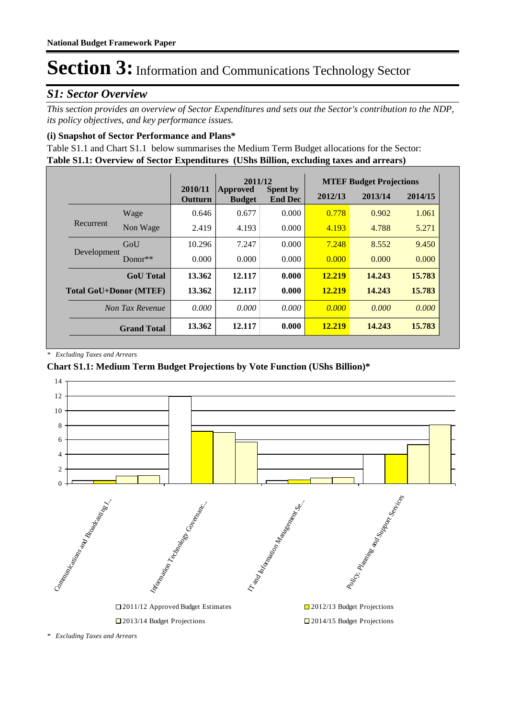### *S1: Sector Overview*

*This section provides an overview of Sector Expenditures and sets out the Sector's contribution to the NDP, its policy objectives, and key performance issues.* 

### **(i) Snapshot of Sector Performance and Plans\***

**Table S1.1: Overview of Sector Expenditures (UShs Billion, excluding taxes and arrears)** Table S1.1 and Chart S1.1 below summarises the Medium Term Budget allocations for the Sector:

|                               |                    |                           | 2011/12                   |                                   | <b>MTEF Budget Projections</b> |         |         |
|-------------------------------|--------------------|---------------------------|---------------------------|-----------------------------------|--------------------------------|---------|---------|
|                               |                    | 2010/11<br><b>Outturn</b> | Approved<br><b>Budget</b> | <b>Spent by</b><br><b>End Dec</b> | 2012/13                        | 2013/14 | 2014/15 |
|                               | Wage               | 0.646                     | 0.677                     | 0.000                             | 0.778                          | 0.902   | 1.061   |
| Recurrent                     | Non Wage           | 2.419                     | 4.193                     | 0.000                             | 4.193                          | 4.788   | 5.271   |
| Development                   | GoU                | 10.296                    | 7.247                     | 0.000                             | 7.248                          | 8.552   | 9.450   |
|                               | Donor $**$         | 0.000                     | 0.000                     | 0.000                             | 0.000                          | 0.000   | 0.000   |
|                               | <b>GoU</b> Total   | 13.362                    | 12.117                    | 0.000                             | 12.219                         | 14.243  | 15.783  |
| <b>Total GoU+Donor (MTEF)</b> |                    | 13.362                    | 12.117                    | 0.000                             | <b>12.219</b>                  | 14.243  | 15.783  |
|                               | Non Tax Revenue    | 0.000                     | 0.000                     | 0.000                             | 0.000                          | 0.000   | 0.000   |
|                               | <b>Grand Total</b> | 13.362                    | 12.117                    | 0.000                             | <b>12.219</b>                  | 14.243  | 15.783  |

*\* Excluding Taxes and Arrears*

### **Chart S1.1: Medium Term Budget Projections by Vote Function (UShs Billion)\***



*<sup>\*</sup> Excluding Taxes and Arrears*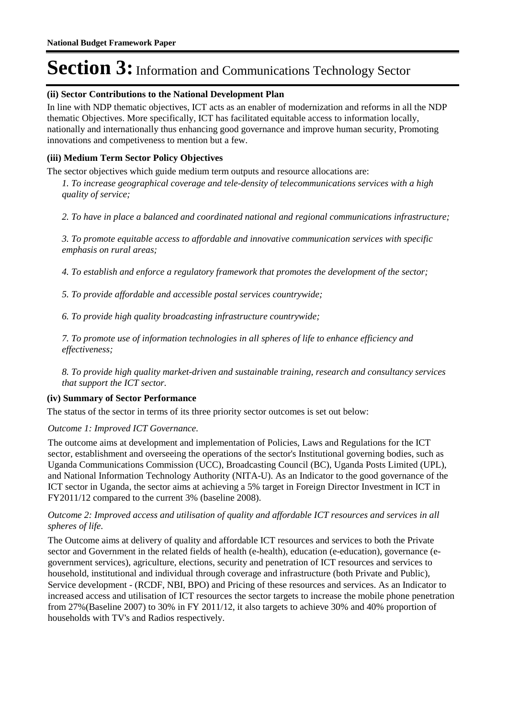### **(ii) Sector Contributions to the National Development Plan**

In line with NDP thematic objectives, ICT acts as an enabler of modernization and reforms in all the NDP thematic Objectives. More specifically, ICT has facilitated equitable access to information locally, nationally and internationally thus enhancing good governance and improve human security, Promoting innovations and competiveness to mention but a few.

### **(iii) Medium Term Sector Policy Objectives**

The sector objectives which guide medium term outputs and resource allocations are:

*1. To increase geographical coverage and tele-density of telecommunications services with a high quality of service;*

*2. To have in place a balanced and coordinated national and regional communications infrastructure;*

*3. To promote equitable access to affordable and innovative communication services with specific emphasis on rural areas;*

*4. To establish and enforce a regulatory framework that promotes the development of the sector;*

*5. To provide affordable and accessible postal services countrywide;*

*6. To provide high quality broadcasting infrastructure countrywide;*

*7. To promote use of information technologies in all spheres of life to enhance efficiency and effectiveness;*

*8. To provide high quality market-driven and sustainable training, research and consultancy services that support the ICT sector.*

### **(iv) Summary of Sector Performance**

The status of the sector in terms of its three priority sector outcomes is set out below:

### Outcome 1: Improved ICT Governance.

The outcome aims at development and implementation of Policies, Laws and Regulations for the ICT sector, establishment and overseeing the operations of the sector's Institutional governing bodies, such as Uganda Communications Commission (UCC), Broadcasting Council (BC), Uganda Posts Limited (UPL), and National Information Technology Authority (NITA-U). As an Indicator to the good governance of the ICT sector in Uganda, the sector aims at achieving a 5% target in Foreign Director Investment in ICT in FY2011/12 compared to the current 3% (baseline 2008).

### Outcome 2: Improved access and utilisation of quality and affordable ICT resources and services in all *spheres of life.*

The Outcome aims at delivery of quality and affordable ICT resources and services to both the Private sector and Government in the related fields of health (e-health), education (e-education), governance (egovernment services), agriculture, elections, security and penetration of ICT resources and services to household, institutional and individual through coverage and infrastructure (both Private and Public), Service development - (RCDF, NBI, BPO) and Pricing of these resources and services. As an Indicator to increased access and utilisation of ICT resources the sector targets to increase the mobile phone penetration from 27%(Baseline 2007) to 30% in FY 2011/12, it also targets to achieve 30% and 40% proportion of households with TV's and Radios respectively.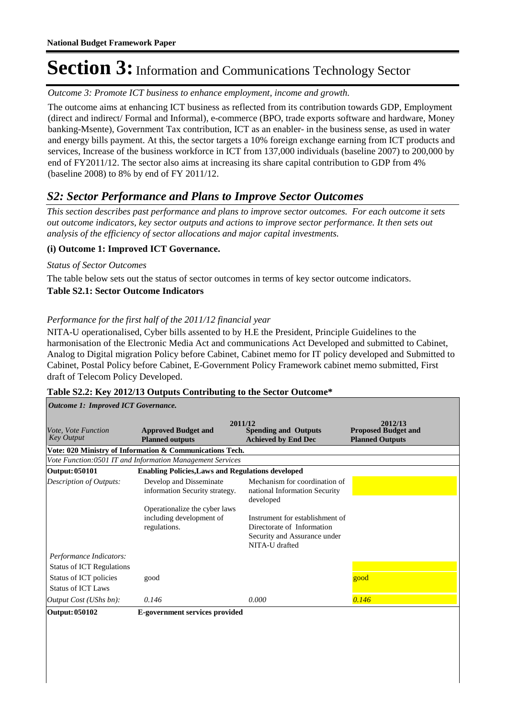Outcome 3: Promote ICT business to enhance employment, income and growth.

The outcome aims at enhancing ICT business as reflected from its contribution towards GDP, Employment (direct and indirect/ Formal and Informal), e-commerce (BPO, trade exports software and hardware, Money banking-Msente), Government Tax contribution, ICT as an enabler- in the business sense, as used in water and energy bills payment. At this, the sector targets a 10% foreign exchange earning from ICT products and services, Increase of the business workforce in ICT from 137,000 individuals (baseline 2007) to 200,000 by end of FY2011/12. The sector also aims at increasing its share capital contribution to GDP from 4% (baseline 2008) to 8% by end of FY 2011/12.

### *S2: Sector Performance and Plans to Improve Sector Outcomes*

*This section describes past performance and plans to improve sector outcomes. For each outcome it sets out outcome indicators, key sector outputs and actions to improve sector performance. It then sets out analysis of the efficiency of sector allocations and major capital investments.*

### **(i) Outcome 1: Improved ICT Governance.**

### *Status of Sector Outcomes*

**Table S2.1: Sector Outcome Indicators** The table below sets out the status of sector outcomes in terms of key sector outcome indicators.

### *Performance for the first half of the 2011/12 financial year*

NITA-U operationalised, Cyber bills assented to by H.E the President, Principle Guidelines to the harmonisation of the Electronic Media Act and communications Act Developed and submitted to Cabinet, Analog to Digital migration Policy before Cabinet, Cabinet memo for IT policy developed and Submitted to Cabinet, Postal Policy before Cabinet, E-Government Policy Framework cabinet memo submitted, First draft of Telecom Policy Developed.

| <b>Outcome 1: Improved ICT Governance.</b>          |                                                           |                                                                                                                 |                                                                 |  |  |
|-----------------------------------------------------|-----------------------------------------------------------|-----------------------------------------------------------------------------------------------------------------|-----------------------------------------------------------------|--|--|
| Vote, Vote Function<br><b>Key Output</b>            | <b>Approved Budget and</b><br><b>Planned outputs</b>      | 2011/12<br><b>Spending and Outputs</b><br><b>Achieved by End Dec</b>                                            | 2012/13<br><b>Proposed Budget and</b><br><b>Planned Outputs</b> |  |  |
|                                                     | Vote: 020 Ministry of Information & Communications Tech.  |                                                                                                                 |                                                                 |  |  |
|                                                     | Vote Function:0501 IT and Information Management Services |                                                                                                                 |                                                                 |  |  |
| Output: 050101                                      | <b>Enabling Policies, Laws and Regulations developed</b>  |                                                                                                                 |                                                                 |  |  |
| <b>Description of Outputs:</b>                      | Develop and Disseminate<br>information Security strategy. | Mechanism for coordination of<br>national Information Security<br>developed                                     |                                                                 |  |  |
|                                                     | Operationalize the cyber laws                             |                                                                                                                 |                                                                 |  |  |
|                                                     | including development of<br>regulations.                  | Instrument for establishment of<br>Directorate of Information<br>Security and Assurance under<br>NITA-U drafted |                                                                 |  |  |
| Performance Indicators:                             |                                                           |                                                                                                                 |                                                                 |  |  |
| <b>Status of ICT Regulations</b>                    |                                                           |                                                                                                                 |                                                                 |  |  |
| Status of ICT policies<br><b>Status of ICT Laws</b> | good                                                      |                                                                                                                 | good                                                            |  |  |
| Output Cost (UShs bn):                              | 0.146                                                     | 0.000                                                                                                           | 0.146                                                           |  |  |
| Output: 050102                                      | E-government services provided                            |                                                                                                                 |                                                                 |  |  |

#### **Table S2.2: Key 2012/13 Outputs Contributing to the Sector Outcome\***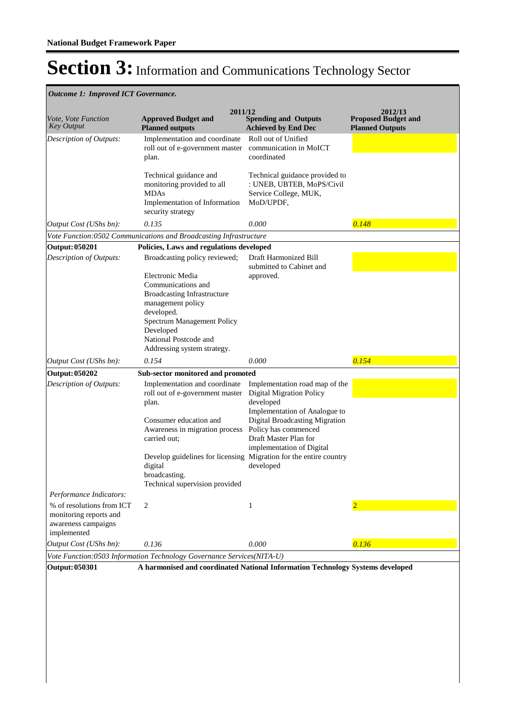| <b>Outcome 1: Improved ICT Governance.</b>                                                |                                                                                                                                                                                                                    |                                                                                                                     |                                                                 |
|-------------------------------------------------------------------------------------------|--------------------------------------------------------------------------------------------------------------------------------------------------------------------------------------------------------------------|---------------------------------------------------------------------------------------------------------------------|-----------------------------------------------------------------|
| Vote, Vote Function<br>Key Output                                                         | 2011/12<br><b>Approved Budget and</b><br><b>Planned outputs</b>                                                                                                                                                    | <b>Spending and Outputs</b><br><b>Achieved by End Dec</b>                                                           | 2012/13<br><b>Proposed Budget and</b><br><b>Planned Outputs</b> |
| Description of Outputs:                                                                   | Implementation and coordinate<br>roll out of e-government master<br>plan.                                                                                                                                          | Roll out of Unified<br>communication in MoICT<br>coordinated                                                        |                                                                 |
|                                                                                           | Technical guidance and<br>monitoring provided to all<br><b>MDAs</b><br>Implementation of Information<br>security strategy                                                                                          | Technical guidance provided to<br>: UNEB, UBTEB, MoPS/Civil<br>Service College, MUK,<br>MoD/UPDF,                   |                                                                 |
| Output Cost (UShs bn):                                                                    | 0.135                                                                                                                                                                                                              | 0.000                                                                                                               | 0.148                                                           |
|                                                                                           | Vote Function:0502 Communications and Broadcasting Infrastructure                                                                                                                                                  |                                                                                                                     |                                                                 |
| <b>Output: 050201</b>                                                                     | Policies, Laws and regulations developed                                                                                                                                                                           |                                                                                                                     |                                                                 |
| <b>Description of Outputs:</b>                                                            | Broadcasting policy reviewed;                                                                                                                                                                                      | Draft Harmonized Bill<br>submitted to Cabinet and                                                                   |                                                                 |
|                                                                                           | Electronic Media<br>Communications and<br><b>Broadcasting Infrastructure</b><br>management policy<br>developed.<br>Spectrum Management Policy<br>Developed<br>National Postcode and<br>Addressing system strategy. | approved.                                                                                                           |                                                                 |
| <i>Output Cost (UShs bn):</i>                                                             | 0.154                                                                                                                                                                                                              | 0.000                                                                                                               | 0.154                                                           |
| Output: 050202                                                                            | Sub-sector monitored and promoted                                                                                                                                                                                  |                                                                                                                     |                                                                 |
| Description of Outputs:                                                                   | Implementation and coordinate<br>roll out of e-government master<br>plan.                                                                                                                                          | Implementation road map of the<br><b>Digital Migration Policy</b><br>developed<br>Implementation of Analogue to     |                                                                 |
|                                                                                           | Consumer education and<br>Awareness in migration process<br>carried out;                                                                                                                                           | <b>Digital Broadcasting Migration</b><br>Policy has commenced<br>Draft Master Plan for<br>implementation of Digital |                                                                 |
|                                                                                           | Develop guidelines for licensing Migration for the entire country<br>digital<br>broadcasting.<br>Technical supervision provided                                                                                    | developed                                                                                                           |                                                                 |
| Performance Indicators:                                                                   |                                                                                                                                                                                                                    |                                                                                                                     |                                                                 |
| % of resolutions from ICT<br>monitoring reports and<br>awareness campaigns<br>implemented | 2                                                                                                                                                                                                                  | $\mathbf{1}$                                                                                                        |                                                                 |
| Output Cost (UShs bn):                                                                    | 0.136                                                                                                                                                                                                              | 0.000                                                                                                               | 0.136                                                           |
|                                                                                           | Vote Function:0503 Information Technology Governance Services(NITA-U)                                                                                                                                              |                                                                                                                     |                                                                 |
| Output: 050301                                                                            | A harmonised and coordinated National Information Technology Systems developed                                                                                                                                     |                                                                                                                     |                                                                 |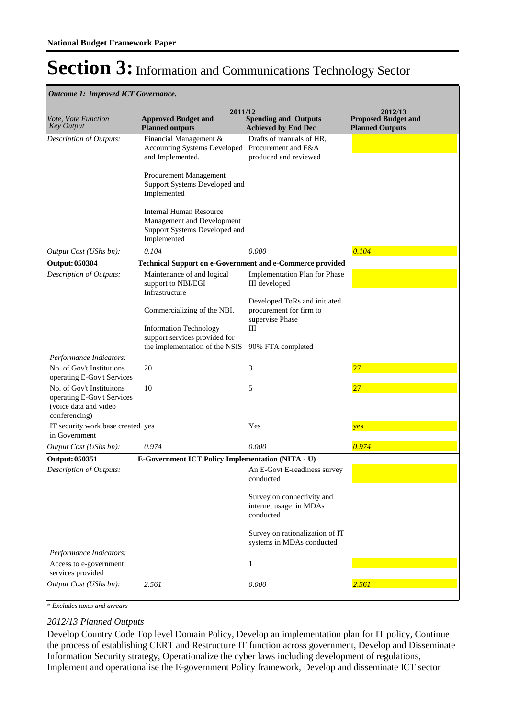### *Outcome 1: Improved ICT Governance.*

| Vote, Vote Function<br><b>Key Output</b>                                                          | 2011/12<br><b>Approved Budget and</b><br><b>Planned outputs</b>                                              | <b>Spending and Outputs</b><br><b>Achieved by End Dec</b>                  | 2012/13<br><b>Proposed Budget and</b><br><b>Planned Outputs</b> |
|---------------------------------------------------------------------------------------------------|--------------------------------------------------------------------------------------------------------------|----------------------------------------------------------------------------|-----------------------------------------------------------------|
| Description of Outputs:                                                                           | Financial Management &<br>Accounting Systems Developed Procurement and F&A<br>and Implemented.               | Drafts of manuals of HR,<br>produced and reviewed                          |                                                                 |
|                                                                                                   | Procurement Management<br>Support Systems Developed and<br>Implemented                                       |                                                                            |                                                                 |
|                                                                                                   | <b>Internal Human Resource</b><br>Management and Development<br>Support Systems Developed and<br>Implemented |                                                                            |                                                                 |
| Output Cost (UShs bn):                                                                            | 0.104                                                                                                        | 0.000                                                                      | 0.104                                                           |
| <b>Output: 050304</b>                                                                             | Technical Support on e-Government and e-Commerce provided                                                    |                                                                            |                                                                 |
| Description of Outputs:                                                                           | Maintenance of and logical<br>support to NBI/EGI<br>Infrastructure                                           | Implementation Plan for Phase<br>III developed                             |                                                                 |
|                                                                                                   | Commercializing of the NBI.                                                                                  | Developed ToRs and initiated<br>procurement for firm to<br>supervise Phase |                                                                 |
|                                                                                                   | <b>Information Technology</b><br>support services provided for<br>the implementation of the NSIS             | Ш<br>90% FTA completed                                                     |                                                                 |
| Performance Indicators:                                                                           |                                                                                                              |                                                                            |                                                                 |
| No. of Gov't Institutions<br>operating E-Gov't Services                                           | 20                                                                                                           | 3                                                                          | 27                                                              |
| No. of Gov't Instituitons<br>operating E-Gov't Services<br>(voice data and video<br>conferencing) | 10                                                                                                           | 5                                                                          | 27                                                              |
| IT security work base created yes<br>in Government                                                |                                                                                                              | Yes                                                                        | yes                                                             |
| Output Cost (UShs bn):                                                                            | 0.974                                                                                                        | 0.000                                                                      | 0.974                                                           |
| Output: 050351                                                                                    | E-Government ICT Policy Implementation (NITA - U)                                                            |                                                                            |                                                                 |
| Description of Outputs:                                                                           |                                                                                                              | An E-Govt E-readiness survey<br>conducted                                  |                                                                 |
|                                                                                                   |                                                                                                              | Survey on connectivity and<br>internet usage in MDAs<br>conducted          |                                                                 |
|                                                                                                   |                                                                                                              | Survey on rationalization of IT<br>systems in MDAs conducted               |                                                                 |
| Performance Indicators:                                                                           |                                                                                                              |                                                                            |                                                                 |
| Access to e-government<br>services provided                                                       |                                                                                                              | 1                                                                          |                                                                 |
| Output Cost (UShs bn):                                                                            | 2.561                                                                                                        | 0.000                                                                      | 2.561                                                           |

*\* Excludes taxes and arrears*

### *2012/13 Planned Outputs*

Develop Country Code Top level Domain Policy, Develop an implementation plan for IT policy, Continue the process of establishing CERT and Restructure IT function across government, Develop and Disseminate Information Security strategy, Operationalize the cyber laws including development of regulations, Implement and operationalise the E-government Policy framework, Develop and disseminate ICT sector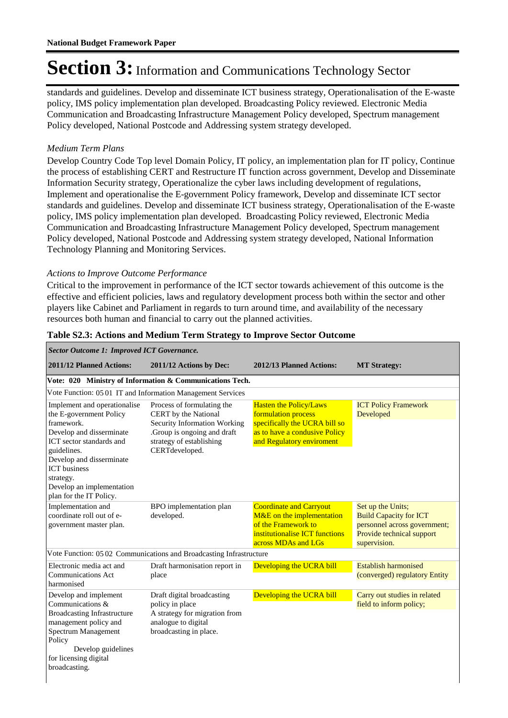standards and guidelines. Develop and disseminate ICT business strategy, Operationalisation of the E-waste policy, IMS policy implementation plan developed. Broadcasting Policy reviewed. Electronic Media Communication and Broadcasting Infrastructure Management Policy developed, Spectrum management Policy developed, National Postcode and Addressing system strategy developed.

### *Medium Term Plans*

Develop Country Code Top level Domain Policy, IT policy, an implementation plan for IT policy, Continue the process of establishing CERT and Restructure IT function across government, Develop and Disseminate Information Security strategy, Operationalize the cyber laws including development of regulations, Implement and operationalise the E-government Policy framework, Develop and disseminate ICT sector standards and guidelines. Develop and disseminate ICT business strategy, Operationalisation of the E-waste policy, IMS policy implementation plan developed. Broadcasting Policy reviewed, Electronic Media Communication and Broadcasting Infrastructure Management Policy developed, Spectrum management Policy developed, National Postcode and Addressing system strategy developed, National Information Technology Planning and Monitoring Services.

### *Actions to Improve Outcome Performance*

*Sector Outcome 1: Improved ICT Governance.*

Critical to the improvement in performance of the ICT sector towards achievement of this outcome is the effective and efficient policies, laws and regulatory development process both within the sector and other players like Cabinet and Parliament in regards to turn around time, and availability of the necessary resources both human and financial to carry out the planned activities.

| seción Outcome 1. Improveu ICI Governance.                                                                                                                                                                                                                           |                                                                                                                                                                 |                                                                                                                                                     |                                                                                                                                 |  |  |
|----------------------------------------------------------------------------------------------------------------------------------------------------------------------------------------------------------------------------------------------------------------------|-----------------------------------------------------------------------------------------------------------------------------------------------------------------|-----------------------------------------------------------------------------------------------------------------------------------------------------|---------------------------------------------------------------------------------------------------------------------------------|--|--|
| 2011/12 Planned Actions:                                                                                                                                                                                                                                             | 2011/12 Actions by Dec:                                                                                                                                         | 2012/13 Planned Actions:                                                                                                                            | <b>MT Strategy:</b>                                                                                                             |  |  |
|                                                                                                                                                                                                                                                                      | Vote: 020 Ministry of Information & Communications Tech.                                                                                                        |                                                                                                                                                     |                                                                                                                                 |  |  |
| Vote Function: 05 01 IT and Information Management Services                                                                                                                                                                                                          |                                                                                                                                                                 |                                                                                                                                                     |                                                                                                                                 |  |  |
| Implement and operationalise<br>the E-government Policy<br>framework.<br>Develop and disserminate<br>ICT sector standards and<br>guidelines.<br>Develop and disserminate<br><b>ICT</b> business<br>strategy.<br>Develop an implementation<br>plan for the IT Policy. | Process of formulating the<br>CERT by the National<br>Security Information Working<br>.Group is ongoing and draft<br>strategy of establishing<br>CERTdeveloped. | <b>Hasten the Policy/Laws</b><br>formulation process<br>specifically the UCRA bill so<br>as to have a condusive Policy<br>and Regulatory enviroment | <b>ICT Policy Framework</b><br>Developed                                                                                        |  |  |
| Implementation and<br>coordinate roll out of e-<br>government master plan.                                                                                                                                                                                           | BPO implementation plan<br>developed.                                                                                                                           | <b>Coordinate and Carryout</b><br>M&E on the implementation<br>of the Framework to<br>institutionalise ICT functions<br>across MDAs and LGs         | Set up the Units;<br><b>Build Capacity for ICT</b><br>personnel across government;<br>Provide technical support<br>supervision. |  |  |
|                                                                                                                                                                                                                                                                      | Vote Function: 05 02 Communications and Broadcasting Infrastructure                                                                                             |                                                                                                                                                     |                                                                                                                                 |  |  |
| Electronic media act and<br><b>Communications Act</b><br>harmonised                                                                                                                                                                                                  | Draft harmonisation report in<br>place                                                                                                                          | Developing the UCRA bill                                                                                                                            | <b>Establish harmonised</b><br>(converged) regulatory Entity                                                                    |  |  |
| Develop and implement<br>Communications &<br><b>Broadcasting Infrastructure</b><br>management policy and<br>Spectrum Management<br>Policy<br>Develop guidelines<br>for licensing digital<br>broadcasting.                                                            | Draft digital broadcasting<br>policy in place<br>A strategy for migration from<br>analogue to digital<br>broadcasting in place.                                 | Developing the UCRA bill                                                                                                                            | Carry out studies in related<br>field to inform policy;                                                                         |  |  |

### **Table S2.3: Actions and Medium Term Strategy to Improve Sector Outcome**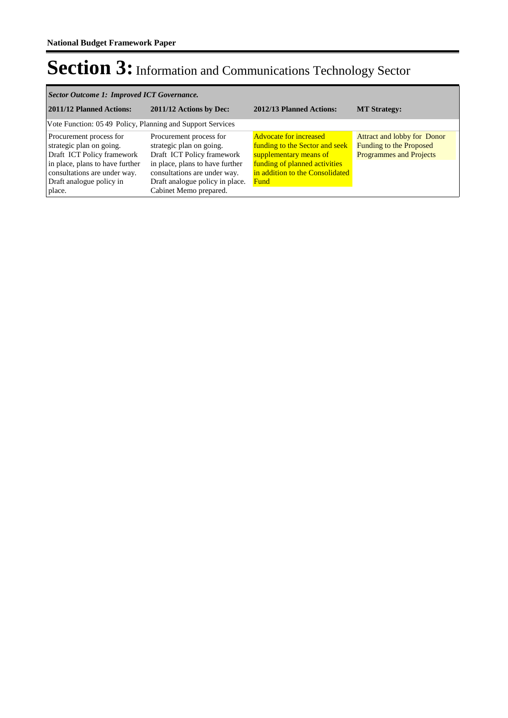| Sector Outcome 1: Improved ICT Governance.                                                                                                                                                 |                                                                                                                                                                                                                   |                                                                                                                                                                       |                                                                                                 |  |  |  |
|--------------------------------------------------------------------------------------------------------------------------------------------------------------------------------------------|-------------------------------------------------------------------------------------------------------------------------------------------------------------------------------------------------------------------|-----------------------------------------------------------------------------------------------------------------------------------------------------------------------|-------------------------------------------------------------------------------------------------|--|--|--|
| 2011/12 Planned Actions:                                                                                                                                                                   | 2011/12 Actions by Dec:                                                                                                                                                                                           | 2012/13 Planned Actions:                                                                                                                                              | <b>MT Strategy:</b>                                                                             |  |  |  |
| Vote Function: 05.49 Policy, Planning and Support Services                                                                                                                                 |                                                                                                                                                                                                                   |                                                                                                                                                                       |                                                                                                 |  |  |  |
| Procurement process for<br>strategic plan on going.<br>Draft ICT Policy framework<br>in place, plans to have further<br>consultations are under way.<br>Draft analogue policy in<br>place. | Procurement process for<br>strategic plan on going.<br>Draft ICT Policy framework<br>in place, plans to have further<br>consultations are under way.<br>Draft analogue policy in place.<br>Cabinet Memo prepared. | <b>Advocate for increased</b><br>funding to the Sector and seek<br>supplementary means of<br>funding of planned activities<br>in addition to the Consolidated<br>Fund | Attract and lobby for Donor<br><b>Funding to the Proposed</b><br><b>Programmes and Projects</b> |  |  |  |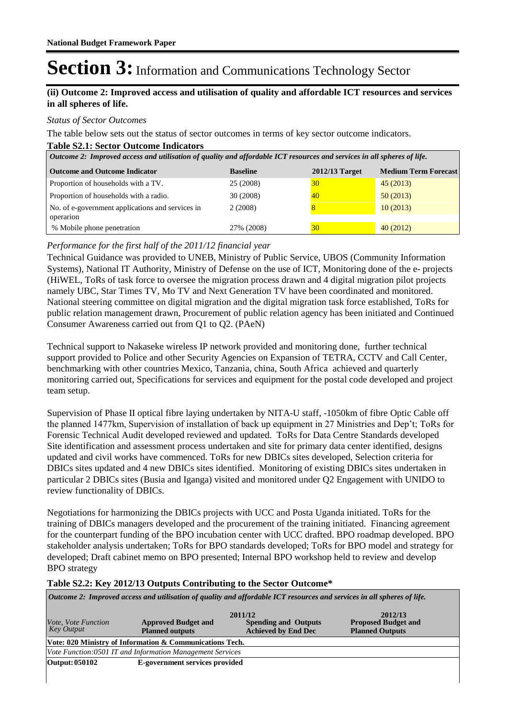### **(ii) Outcome 2: Improved access and utilisation of quality and affordable ICT resources and services in all spheres of life.**

#### *Status of Sector Outcomes*

The table below sets out the status of sector outcomes in terms of key sector outcome indicators.

#### **Table S2.1: Sector Outcome Indicators**

| Outcome 2: Improved access and utilisation of quality and affordable ICT resources and services in all spheres of life. |                 |                  |                             |  |  |  |
|-------------------------------------------------------------------------------------------------------------------------|-----------------|------------------|-----------------------------|--|--|--|
| <b>Outcome and Outcome Indicator</b>                                                                                    | <b>Baseline</b> | $2012/13$ Target | <b>Medium Term Forecast</b> |  |  |  |
| Proportion of households with a TV.                                                                                     | 25 (2008)       | 30               | 45(2013)                    |  |  |  |
| Proportion of households with a radio.                                                                                  | 30 (2008)       | 40               | 50(2013)                    |  |  |  |
| No. of e-government applications and services in<br>operarion                                                           | 2(2008)         |                  | 10(2013)                    |  |  |  |
| % Mobile phone penetration                                                                                              | 27% (2008)      | 30               | 40(2012)                    |  |  |  |

### *Performance for the first half of the 2011/12 financial year*

Technical Guidance was provided to UNEB, Ministry of Public Service, UBOS (Community Information Systems), National IT Authority, Ministry of Defense on the use of ICT, Monitoring done of the e- projects (HiWEL, ToRs of task force to oversee the migration process drawn and 4 digital migration pilot projects namely UBC, Star Times TV, Mo TV and Next Generation TV have been coordinated and monitored. National steering committee on digital migration and the digital migration task force established, ToRs for public relation management drawn, Procurement of public relation agency has been initiated and Continued Consumer Awareness carried out from Q1 to Q2. (PAeN)

Technical support to Nakaseke wireless IP network provided and monitoring done, further technical support provided to Police and other Security Agencies on Expansion of TETRA, CCTV and Call Center, benchmarking with other countries Mexico, Tanzania, china, South Africa achieved and quarterly monitoring carried out, Specifications for services and equipment for the postal code developed and project team setup.

Supervision of Phase II optical fibre laying undertaken by NITA-U staff, -1050km of fibre Optic Cable off the planned 1477km, Supervision of installation of back up equipment in 27 Ministries and Dep't; ToRs for Forensic Technical Audit developed reviewed and updated. ToRs for Data Centre Standards developed Site identification and assessment process undertaken and site for primary data center identified, designs updated and civil works have commenced. ToRs for new DBICs sites developed, Selection criteria for DBICs sites updated and 4 new DBICs sites identified. Monitoring of existing DBICs sites undertaken in particular 2 DBICs sites (Busia and Iganga) visited and monitored under Q2 Engagement with UNIDO to review functionality of DBICs.

Negotiations for harmonizing the DBICs projects with UCC and Posta Uganda initiated. ToRs for the training of DBICs managers developed and the procurement of the training initiated. Financing agreement for the counterpart funding of the BPO incubation center with UCC drafted. BPO roadmap developed. BPO stakeholder analysis undertaken; ToRs for BPO standards developed; ToRs for BPO model and strategy for developed; Draft cabinet memo on BPO presented; Internal BPO workshop held to review and develop BPO strategy

#### **Table S2.2: Key 2012/13 Outputs Contributing to the Sector Outcome\***

| Outcome 2: Improved access and utilisation of quality and affordable ICT resources and services in all spheres of life. |                                                           |                                                                      |                                                                 |  |  |  |
|-------------------------------------------------------------------------------------------------------------------------|-----------------------------------------------------------|----------------------------------------------------------------------|-----------------------------------------------------------------|--|--|--|
| <i>Vote, Vote Function</i><br>Key Output                                                                                | <b>Approved Budget and</b><br><b>Planned outputs</b>      | 2011/12<br><b>Spending and Outputs</b><br><b>Achieved by End Dec</b> | 2012/13<br><b>Proposed Budget and</b><br><b>Planned Outputs</b> |  |  |  |
|                                                                                                                         | Vote: 020 Ministry of Information & Communications Tech.  |                                                                      |                                                                 |  |  |  |
|                                                                                                                         | Vote Function:0501 IT and Information Management Services |                                                                      |                                                                 |  |  |  |
| Output: 050102                                                                                                          | E-government services provided                            |                                                                      |                                                                 |  |  |  |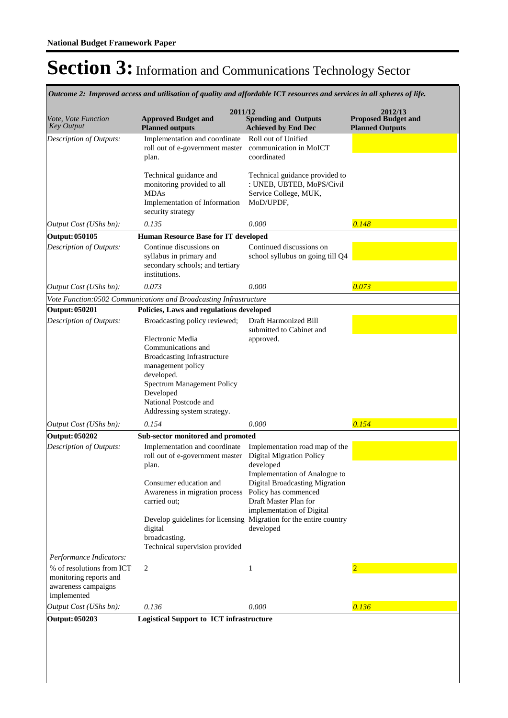|                                                                                           | Outcome 2: Improved access and utilisation of quality and affordable ICT resources and services in all spheres of life.                                                                                             |                                                                                                                                                                                                                                                                                                                   |                                                                 |
|-------------------------------------------------------------------------------------------|---------------------------------------------------------------------------------------------------------------------------------------------------------------------------------------------------------------------|-------------------------------------------------------------------------------------------------------------------------------------------------------------------------------------------------------------------------------------------------------------------------------------------------------------------|-----------------------------------------------------------------|
| Vote, Vote Function<br>Key Output                                                         | 2011/12<br><b>Approved Budget and</b><br><b>Planned outputs</b>                                                                                                                                                     | <b>Spending and Outputs</b><br><b>Achieved by End Dec</b>                                                                                                                                                                                                                                                         | 2012/13<br><b>Proposed Budget and</b><br><b>Planned Outputs</b> |
| Description of Outputs:                                                                   | Implementation and coordinate<br>roll out of e-government master<br>plan.                                                                                                                                           | Roll out of Unified<br>communication in MoICT<br>coordinated                                                                                                                                                                                                                                                      |                                                                 |
|                                                                                           | Technical guidance and<br>monitoring provided to all<br><b>MDAs</b><br>Implementation of Information<br>security strategy                                                                                           | Technical guidance provided to<br>: UNEB, UBTEB, MoPS/Civil<br>Service College, MUK,<br>MoD/UPDF,                                                                                                                                                                                                                 |                                                                 |
| Output Cost (UShs bn):                                                                    | 0.135                                                                                                                                                                                                               | 0.000                                                                                                                                                                                                                                                                                                             | 0.148                                                           |
| <b>Output: 050105</b>                                                                     | <b>Human Resource Base for IT developed</b>                                                                                                                                                                         |                                                                                                                                                                                                                                                                                                                   |                                                                 |
| Description of Outputs:                                                                   | Continue discussions on<br>syllabus in primary and<br>secondary schools; and tertiary<br>institutions.                                                                                                              | Continued discussions on<br>school syllubus on going till Q4                                                                                                                                                                                                                                                      |                                                                 |
| Output Cost (UShs bn):                                                                    | 0.073                                                                                                                                                                                                               | 0.000                                                                                                                                                                                                                                                                                                             | 0.073                                                           |
|                                                                                           | Vote Function:0502 Communications and Broadcasting Infrastructure                                                                                                                                                   |                                                                                                                                                                                                                                                                                                                   |                                                                 |
| <b>Output: 050201</b>                                                                     | Policies, Laws and regulations developed                                                                                                                                                                            |                                                                                                                                                                                                                                                                                                                   |                                                                 |
| Description of Outputs:                                                                   | Broadcasting policy reviewed;                                                                                                                                                                                       | Draft Harmonized Bill                                                                                                                                                                                                                                                                                             |                                                                 |
|                                                                                           | Electronic Media<br>Communications and<br><b>Broadcasting Infrastructure</b><br>management policy<br>developed.<br>Spectrum Management Policy<br>Developed<br>National Postcode and<br>Addressing system strategy.  | submitted to Cabinet and<br>approved.                                                                                                                                                                                                                                                                             |                                                                 |
| Output Cost (UShs bn):                                                                    | 0.154                                                                                                                                                                                                               | 0.000                                                                                                                                                                                                                                                                                                             | 0.154                                                           |
| <b>Output: 050202</b>                                                                     | Sub-sector monitored and promoted                                                                                                                                                                                   |                                                                                                                                                                                                                                                                                                                   |                                                                 |
| Description of Outputs:                                                                   | Implementation and coordinate<br>roll out of e-government master<br>plan.<br>Consumer education and<br>Awareness in migration process<br>carried out;<br>digital<br>broadcasting.<br>Technical supervision provided | Implementation road map of the<br><b>Digital Migration Policy</b><br>developed<br>Implementation of Analogue to<br>Digital Broadcasting Migration<br>Policy has commenced<br>Draft Master Plan for<br>implementation of Digital<br>Develop guidelines for licensing Migration for the entire country<br>developed |                                                                 |
| Performance Indicators:                                                                   |                                                                                                                                                                                                                     |                                                                                                                                                                                                                                                                                                                   |                                                                 |
| % of resolutions from ICT<br>monitoring reports and<br>awareness campaigns<br>implemented | $\overline{c}$                                                                                                                                                                                                      | 1                                                                                                                                                                                                                                                                                                                 | $\overline{2}$                                                  |
| Output Cost (UShs bn):                                                                    | 0.136                                                                                                                                                                                                               | 0.000                                                                                                                                                                                                                                                                                                             | 0.136                                                           |
| Output: 050203                                                                            | <b>Logistical Support to ICT infrastructure</b>                                                                                                                                                                     |                                                                                                                                                                                                                                                                                                                   |                                                                 |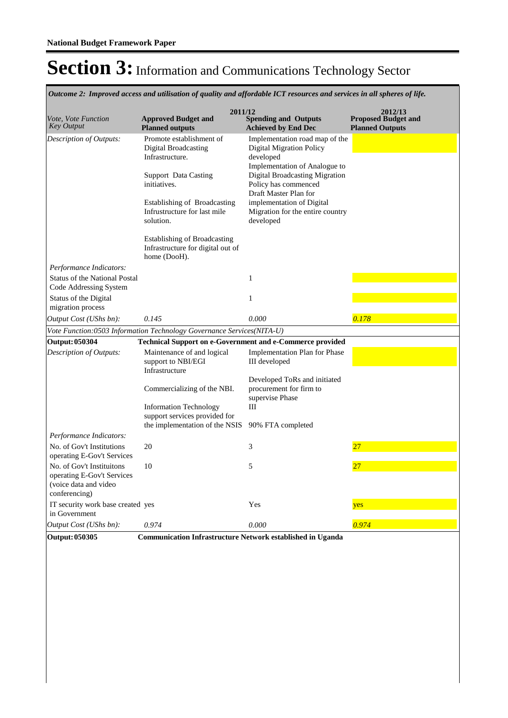*Outcome 2: Improved access and utilisation of quality and affordable ICT resources and services in all spheres of life.*

| Vote, Vote Function<br><b>Key Output</b>                                                          | 2011/12<br><b>Approved Budget and</b><br><b>Planned outputs</b>                          | <b>Spending and Outputs</b><br><b>Achieved by End Dec</b>                                                        | 2012/13<br><b>Proposed Budget and</b><br><b>Planned Outputs</b> |
|---------------------------------------------------------------------------------------------------|------------------------------------------------------------------------------------------|------------------------------------------------------------------------------------------------------------------|-----------------------------------------------------------------|
| Description of Outputs:                                                                           | Promote establishment of<br>Digital Broadcasting<br>Infrastructure.                      | Implementation road map of the<br><b>Digital Migration Policy</b><br>developed                                   |                                                                 |
|                                                                                                   | <b>Support Data Casting</b><br>initiatives.                                              | Implementation of Analogue to<br>Digital Broadcasting Migration<br>Policy has commenced<br>Draft Master Plan for |                                                                 |
|                                                                                                   | Establishing of Broadcasting<br>Infrustructure for last mile<br>solution.                | implementation of Digital<br>Migration for the entire country<br>developed                                       |                                                                 |
|                                                                                                   | <b>Establishing of Broadcasting</b><br>Infrastructure for digital out of<br>home (DooH). |                                                                                                                  |                                                                 |
| Performance Indicators:<br><b>Status of the National Postal</b><br>Code Addressing System         |                                                                                          | 1                                                                                                                |                                                                 |
| Status of the Digital<br>migration process                                                        |                                                                                          | 1                                                                                                                |                                                                 |
| <i>Output Cost (UShs bn):</i>                                                                     | 0.145                                                                                    | 0.000                                                                                                            | 0.178                                                           |
|                                                                                                   | Vote Function:0503 Information Technology Governance Services(NITA-U)                    |                                                                                                                  |                                                                 |
| <b>Output: 050304</b>                                                                             | <b>Technical Support on e-Government and e-Commerce provided</b>                         |                                                                                                                  |                                                                 |
| <b>Description of Outputs:</b>                                                                    | Maintenance of and logical<br>support to NBI/EGI<br>Infrastructure                       | <b>Implementation Plan for Phase</b><br>III developed                                                            |                                                                 |
|                                                                                                   | Commercializing of the NBI.                                                              | Developed ToRs and initiated<br>procurement for firm to<br>supervise Phase                                       |                                                                 |
|                                                                                                   | <b>Information Technology</b><br>support services provided for                           | Ш                                                                                                                |                                                                 |
|                                                                                                   | the implementation of the NSIS                                                           | 90% FTA completed                                                                                                |                                                                 |
| Performance Indicators:                                                                           |                                                                                          |                                                                                                                  |                                                                 |
| No. of Gov't Institutions<br>operating E-Gov't Services                                           | 20                                                                                       | 3                                                                                                                | 27                                                              |
| No. of Gov't Instituitons<br>operating E-Gov't Services<br>(voice data and video<br>conferencing) | 10                                                                                       | 5                                                                                                                | 27                                                              |
| IT security work base created yes<br>in Government                                                |                                                                                          | Yes                                                                                                              | yes                                                             |
| <i>Output Cost (UShs bn):</i>                                                                     | 0.974                                                                                    | 0.000                                                                                                            | 0.974                                                           |
| <b>Output: 050305</b>                                                                             | <b>Communication Infrastructure Network established in Uganda</b>                        |                                                                                                                  |                                                                 |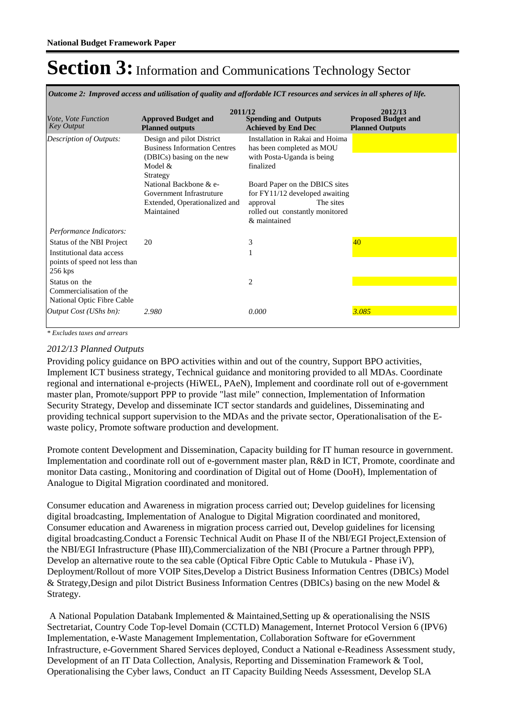*Outcome 2: Improved access and utilisation of quality and affordable ICT resources and services in all spheres of life.*

| <i>Vote. Vote Function</i><br><b>Key Output</b>                         | 2011/12<br><b>Approved Budget and</b><br><b>Planned outputs</b>                                                         | <b>Spending and Outputs</b><br><b>Achieved by End Dec</b>                                                                                         | 2012/13<br><b>Proposed Budget and</b><br><b>Planned Outputs</b> |
|-------------------------------------------------------------------------|-------------------------------------------------------------------------------------------------------------------------|---------------------------------------------------------------------------------------------------------------------------------------------------|-----------------------------------------------------------------|
| Description of Outputs:                                                 | Design and pilot District<br><b>Business Information Centres</b><br>(DBICs) basing on the new<br>Model $\&$<br>Strategy | Installation in Rakai and Hoima<br>has been completed as MOU<br>with Posta-Uganda is being<br>finalized                                           |                                                                 |
|                                                                         | National Backbone & e-<br>Government Infrastruture<br>Extended, Operationalized and<br>Maintained                       | Board Paper on the DBICS sites<br>for $FY11/12$ developed awaiting<br>The sites<br>approval<br>rolled out constantly monitored<br>$\&$ maintained |                                                                 |
| Performance Indicators:                                                 |                                                                                                                         |                                                                                                                                                   |                                                                 |
| Status of the NBI Project                                               | 20                                                                                                                      | 3                                                                                                                                                 | 40                                                              |
| Institutional data access<br>points of speed not less than<br>$256$ kps |                                                                                                                         |                                                                                                                                                   |                                                                 |
| Status on the<br>Commercialisation of the<br>National Optic Fibre Cable |                                                                                                                         | $\overline{c}$                                                                                                                                    |                                                                 |
| <i>Output Cost (UShs bn):</i>                                           | 2.980                                                                                                                   | 0.000                                                                                                                                             | 3.085                                                           |

*\* Excludes taxes and arrears*

### *2012/13 Planned Outputs*

Providing policy guidance on BPO activities within and out of the country, Support BPO activities, Implement ICT business strategy, Technical guidance and monitoring provided to all MDAs. Coordinate regional and international e-projects (HiWEL, PAeN), Implement and coordinate roll out of e-government master plan, Promote/support PPP to provide "last mile" connection, Implementation of Information Security Strategy, Develop and disseminate ICT sector standards and guidelines, Disseminating and providing technical support supervision to the MDAs and the private sector, Operationalisation of the Ewaste policy, Promote software production and development.

Promote content Development and Dissemination, Capacity building for IT human resource in government. Implementation and coordinate roll out of e-government master plan, R&D in ICT, Promote, coordinate and monitor Data casting., Monitoring and coordination of Digital out of Home (DooH), Implementation of Analogue to Digital Migration coordinated and monitored.

Consumer education and Awareness in migration process carried out; Develop guidelines for licensing digital broadcasting, Implementation of Analogue to Digital Migration coordinated and monitored, Consumer education and Awareness in migration process carried out, Develop guidelines for licensing digital broadcasting.Conduct a Forensic Technical Audit on Phase II of the NBI/EGI Project,Extension of the NBI/EGI Infrastructure (Phase III),Commercialization of the NBI (Procure a Partner through PPP), Develop an alternative route to the sea cable (Optical Fibre Optic Cable to Mutukula - Phase iV), Deployment/Rollout of more VOIP Sites,Develop a District Business Information Centres (DBICs) Model & Strategy,Design and pilot District Business Information Centres (DBICs) basing on the new Model & Strategy.

 A National Population Databank Implemented & Maintained,Setting up & operationalising the NSIS Sectretariat, Country Code Top-level Domain (CCTLD) Management, Internet Protocol Version 6 (IPV6) Implementation, e-Waste Management Implementation, Collaboration Software for eGovernment Infrastructure, e-Government Shared Services deployed, Conduct a National e-Readiness Assessment study, Development of an IT Data Collection, Analysis, Reporting and Dissemination Framework & Tool, Operationalising the Cyber laws, Conduct an IT Capacity Building Needs Assessment, Develop SLA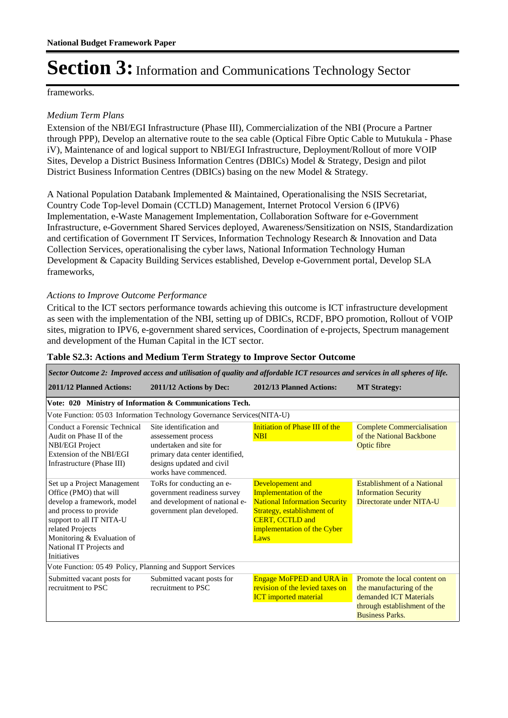frameworks.

### *Medium Term Plans*

Extension of the NBI/EGI Infrastructure (Phase III), Commercialization of the NBI (Procure a Partner through PPP), Develop an alternative route to the sea cable (Optical Fibre Optic Cable to Mutukula - Phase iV), Maintenance of and logical support to NBI/EGI Infrastructure, Deployment/Rollout of more VOIP Sites, Develop a District Business Information Centres (DBICs) Model & Strategy, Design and pilot District Business Information Centres (DBICs) basing on the new Model & Strategy.

A National Population Databank Implemented & Maintained, Operationalising the NSIS Secretariat, Country Code Top-level Domain (CCTLD) Management, Internet Protocol Version 6 (IPV6) Implementation, e-Waste Management Implementation, Collaboration Software for e-Government Infrastructure, e-Government Shared Services deployed, Awareness/Sensitization on NSIS, Standardization and certification of Government IT Services, Information Technology Research & Innovation and Data Collection Services, operationalising the cyber laws, National Information Technology Human Development & Capacity Building Services established, Develop e-Government portal, Develop SLA frameworks,

### *Actions to Improve Outcome Performance*

Critical to the ICT sectors performance towards achieving this outcome is ICT infrastructure development as seen with the implementation of the NBI, setting up of DBICs, RCDF, BPO promotion, Rollout of VOIP sites, migration to IPV6, e-government shared services, Coordination of e-projects, Spectrum management and development of the Human Capital in the ICT sector.

| Sector Outcome 2: Improved access and utilisation of quality and affordable ICT resources and services in all spheres of life.            |                                                                                                                          |                                                                                                                                           |                                                                                                                                              |  |  |
|-------------------------------------------------------------------------------------------------------------------------------------------|--------------------------------------------------------------------------------------------------------------------------|-------------------------------------------------------------------------------------------------------------------------------------------|----------------------------------------------------------------------------------------------------------------------------------------------|--|--|
| 2011/12 Planned Actions:                                                                                                                  | 2011/12 Actions by Dec:                                                                                                  | 2012/13 Planned Actions:                                                                                                                  | <b>MT Strategy:</b>                                                                                                                          |  |  |
|                                                                                                                                           | Vote: 020 Ministry of Information & Communications Tech.                                                                 |                                                                                                                                           |                                                                                                                                              |  |  |
|                                                                                                                                           | Vote Function: 05 03 Information Technology Governance Services (NITA-U)                                                 |                                                                                                                                           |                                                                                                                                              |  |  |
| Conduct a Forensic Technical<br>Audit on Phase II of the<br><b>NBI/EGI Project</b>                                                        | Site identification and<br>assessement process<br>undertaken and site for                                                | Initiation of Phase III of the<br><b>NBI</b>                                                                                              | <b>Complete Commercialisation</b><br>of the National Backbone<br>Optic fibre                                                                 |  |  |
| Extension of the NBI/EGI<br>Infrastructure (Phase III)                                                                                    | primary data center identified,<br>designs updated and civil<br>works have commenced.                                    |                                                                                                                                           |                                                                                                                                              |  |  |
| Set up a Project Management<br>Office (PMO) that will<br>develop a framework, model<br>and process to provide<br>support to all IT NITA-U | ToRs for conducting an e-<br>government readiness survey<br>and development of national e-<br>government plan developed. | Developement and<br>Implementation of the<br><b>National Information Security</b><br>Strategy, establishment of<br><b>CERT, CCTLD and</b> | <b>Establishment of a National</b><br><b>Information Security</b><br>Directorate under NITA-U                                                |  |  |
| related Projects<br>Monitoring & Evaluation of<br>National IT Projects and<br>Initiatives                                                 |                                                                                                                          | implementation of the Cyber<br>Laws                                                                                                       |                                                                                                                                              |  |  |
| Vote Function: 05 49 Policy, Planning and Support Services                                                                                |                                                                                                                          |                                                                                                                                           |                                                                                                                                              |  |  |
| Submitted vacant posts for<br>recruitment to PSC                                                                                          | Submitted vacant posts for<br>recruitment to PSC                                                                         | <b>Engage MoFPED and URA in</b><br>revision of the levied taxes on<br><b>ICT</b> imported material                                        | Promote the local content on<br>the manufacturing of the<br>demanded ICT Materials<br>through establishment of the<br><b>Business Parks.</b> |  |  |

#### **Table S2.3: Actions and Medium Term Strategy to Improve Sector Outcome**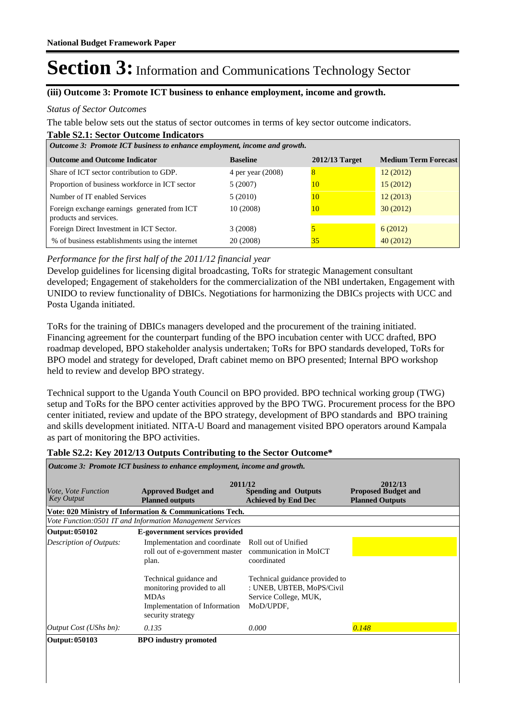### **(iii) Outcome 3: Promote ICT business to enhance employment, income and growth.**

#### *Status of Sector Outcomes*

The table below sets out the status of sector outcomes in terms of key sector outcome indicators.

#### **Table S2.1: Sector Outcome Indicators**

| Outcome 3: Promote ICT business to enhance employment, income and growth. |                   |                |                             |  |
|---------------------------------------------------------------------------|-------------------|----------------|-----------------------------|--|
| <b>Outcome and Outcome Indicator</b>                                      | <b>Baseline</b>   | 2012/13 Target | <b>Medium Term Forecast</b> |  |
| Share of ICT sector contribution to GDP.                                  | 4 per year (2008) | $\overline{8}$ | 12(2012)                    |  |
| Proportion of business workforce in ICT sector                            | 5(2007)           | 10             | 15(2012)                    |  |
| Number of IT enabled Services                                             | 5(2010)           | 10             | 12(2013)                    |  |
| Foreign exchange earnings generated from ICT<br>products and services.    | 10 (2008)         | 10             | 30(2012)                    |  |
| Foreign Direct Investment in ICT Sector.                                  | 3(2008)           |                | 6(2012)                     |  |
| % of business establishments using the internet                           | 20 (2008)         | 35             | 40(2012)                    |  |

### *Performance for the first half of the 2011/12 financial year*

Develop guidelines for licensing digital broadcasting, ToRs for strategic Management consultant developed; Engagement of stakeholders for the commercialization of the NBI undertaken, Engagement with UNIDO to review functionality of DBICs. Negotiations for harmonizing the DBICs projects with UCC and Posta Uganda initiated.

ToRs for the training of DBICs managers developed and the procurement of the training initiated. Financing agreement for the counterpart funding of the BPO incubation center with UCC drafted, BPO roadmap developed, BPO stakeholder analysis undertaken; ToRs for BPO standards developed, ToRs for BPO model and strategy for developed, Draft cabinet memo on BPO presented; Internal BPO workshop held to review and develop BPO strategy.

Technical support to the Uganda Youth Council on BPO provided. BPO technical working group (TWG) setup and ToRs for the BPO center activities approved by the BPO TWG. Procurement process for the BPO center initiated, review and update of the BPO strategy, development of BPO standards and BPO training and skills development initiated. NITA-U Board and management visited BPO operators around Kampala as part of monitoring the BPO activities.

#### **Table S2.2: Key 2012/13 Outputs Contributing to the Sector Outcome\***

| <i>Vote, Vote Function</i><br><b>Key Output</b> | 2011/12<br><b>Approved Budget and</b><br><b>Planned outputs</b>                                                                                                                                                               | <b>Spending and Outputs</b><br><b>Achieved by End Dec</b>                                                                               | 2012/13<br><b>Proposed Budget and</b><br><b>Planned Outputs</b> |
|-------------------------------------------------|-------------------------------------------------------------------------------------------------------------------------------------------------------------------------------------------------------------------------------|-----------------------------------------------------------------------------------------------------------------------------------------|-----------------------------------------------------------------|
|                                                 | Vote: 020 Ministry of Information & Communications Tech.                                                                                                                                                                      |                                                                                                                                         |                                                                 |
|                                                 | Vote Function:0501 IT and Information Management Services                                                                                                                                                                     |                                                                                                                                         |                                                                 |
| Output: 050102                                  | E-government services provided                                                                                                                                                                                                |                                                                                                                                         |                                                                 |
| Description of Outputs:                         | Implementation and coordinate<br>roll out of e-government master communication in MoICT<br>plan.<br>Technical guidance and<br>monitoring provided to all<br><b>MDAs</b><br>Implementation of Information<br>security strategy | Roll out of Unified<br>coordinated<br>Technical guidance provided to<br>: UNEB, UBTEB, MoPS/Civil<br>Service College, MUK,<br>MoD/UPDF, |                                                                 |
| Output Cost (UShs bn):                          | 0.135                                                                                                                                                                                                                         | 0.000                                                                                                                                   | 0.148                                                           |
| Output: 050103                                  | <b>BPO</b> industry promoted                                                                                                                                                                                                  |                                                                                                                                         |                                                                 |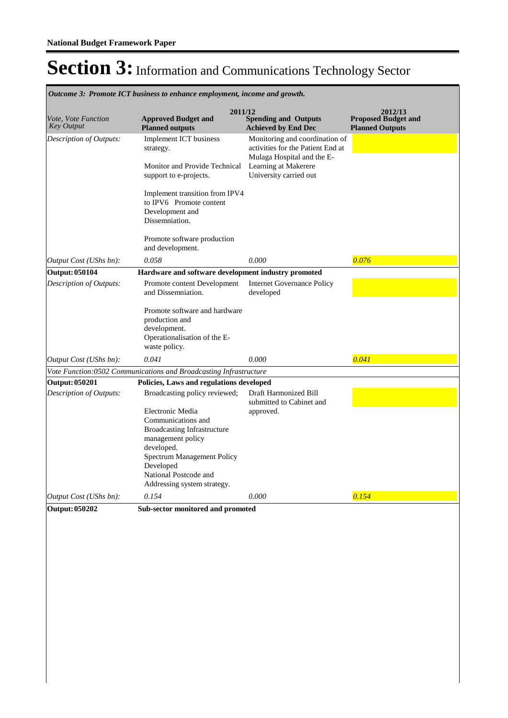| Outcome 3: Promote ICT business to enhance employment, income and growth. |                                                                                                                                                                                                             |                                                                                                   |                                                                 |  |
|---------------------------------------------------------------------------|-------------------------------------------------------------------------------------------------------------------------------------------------------------------------------------------------------------|---------------------------------------------------------------------------------------------------|-----------------------------------------------------------------|--|
| Vote, Vote Function<br><b>Key Output</b>                                  | 2011/12<br><b>Approved Budget and</b><br><b>Planned outputs</b>                                                                                                                                             | <b>Spending and Outputs</b><br><b>Achieved by End Dec</b>                                         | 2012/13<br><b>Proposed Budget and</b><br><b>Planned Outputs</b> |  |
| Description of Outputs:                                                   | <b>Implement ICT</b> business<br>strategy.                                                                                                                                                                  | Monitoring and coordination of<br>activities for the Patient End at<br>Mulaga Hospital and the E- |                                                                 |  |
|                                                                           | Monitor and Provide Technical<br>support to e-projects.                                                                                                                                                     | Learning at Makerere<br>University carried out                                                    |                                                                 |  |
|                                                                           | Implement transition from IPV4<br>to IPV6 Promote content<br>Development and<br>Dissemniation.                                                                                                              |                                                                                                   |                                                                 |  |
|                                                                           | Promote software production<br>and development.                                                                                                                                                             |                                                                                                   |                                                                 |  |
| Output Cost (UShs bn):                                                    | 0.058                                                                                                                                                                                                       | 0.000                                                                                             | 0.076                                                           |  |
| <b>Output: 050104</b>                                                     | Hardware and software development industry promoted                                                                                                                                                         |                                                                                                   |                                                                 |  |
| Description of Outputs:                                                   | Promote content Development<br>and Dissemniation.                                                                                                                                                           | <b>Internet Governance Policy</b><br>developed                                                    |                                                                 |  |
|                                                                           | Promote software and hardware<br>production and<br>development.<br>Operationalisation of the E-<br>waste policy.                                                                                            |                                                                                                   |                                                                 |  |
| Output Cost (UShs bn):                                                    | 0.041                                                                                                                                                                                                       | 0.000                                                                                             | 0.041                                                           |  |
|                                                                           | Vote Function:0502 Communications and Broadcasting Infrastructure                                                                                                                                           |                                                                                                   |                                                                 |  |
| <b>Output: 050201</b>                                                     | Policies, Laws and regulations developed                                                                                                                                                                    |                                                                                                   |                                                                 |  |
| <b>Description of Outputs:</b>                                            | Broadcasting policy reviewed;                                                                                                                                                                               | Draft Harmonized Bill<br>submitted to Cabinet and                                                 |                                                                 |  |
|                                                                           | Electronic Media<br>Communications and<br>Broadcasting Infrastructure<br>management policy<br>developed.<br>Spectrum Management Policy<br>Developed<br>National Postcode and<br>Addressing system strategy. | approved.                                                                                         |                                                                 |  |
| Output Cost (UShs bn):                                                    | 0.154                                                                                                                                                                                                       | 0.000                                                                                             | 0.154                                                           |  |
| <b>Output: 050202</b>                                                     | Sub-sector monitored and promoted                                                                                                                                                                           |                                                                                                   |                                                                 |  |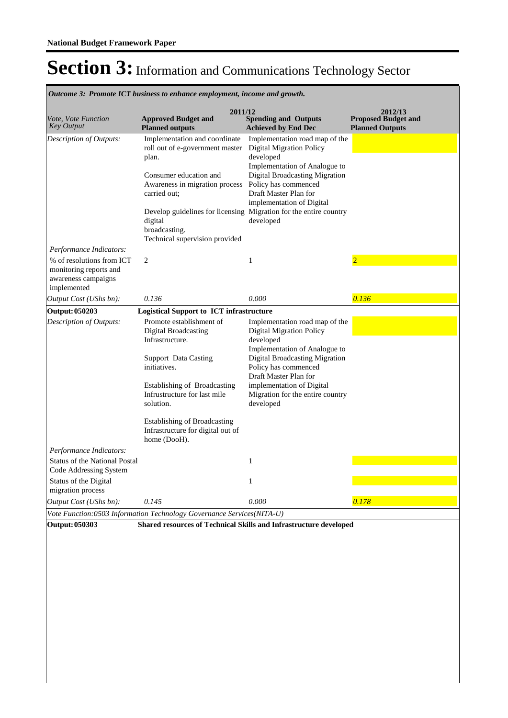**Spending and Outputs Achieved by End Dec Approved Budget and Planned outputs Proposed Budget and Planned Outputs 2011/12** *Vote, Vote Function Key Output* **2012/13** Implementation and coordinate roll out of e-government master plan. Consumer education and Awareness in migration process carried out; Develop guidelines for licensing Migration for the entire country digital broadcasting. Technical supervision provided Implementation road map of the Digital Migration Policy developed Implementation of Analogue to Digital Broadcasting Migration Policy has commenced Draft Master Plan for implementation of Digital developed *Output Cost (UShs bn): 0.136 0.000 0.136 Description of Outputs: Performance Indicators:* % of resolutions from ICT monitoring reports and awareness campaigns implemented 2 1 2 **Output: 050203 Logistical Support to ICT infrastructure** Promote establishment of Digital Broadcasting Infrastructure. Support Data Casting initiatives. Establishing of Broadcasting Infrustructure for last mile solution. Establishing of Broadcasting Infrastructure for digital out of home (DooH). Implementation road map of the Digital Migration Policy developed Implementation of Analogue to Digital Broadcasting Migration Policy has commenced Draft Master Plan for implementation of Digital Migration for the entire country developed *Output Cost (UShs bn): 0.145 0.000 0.178 Description of Outputs: Performance Indicators:* Status of the National Postal Code Addressing System 1 Status of the Digital migration process 1 *Vote Function:0503 Information Technology Governance Services(NITA-U)*

*Outcome 3: Promote ICT business to enhance employment, income and growth.*

**Output: 050303 Shared resources of Technical Skills and Infrastructure developed**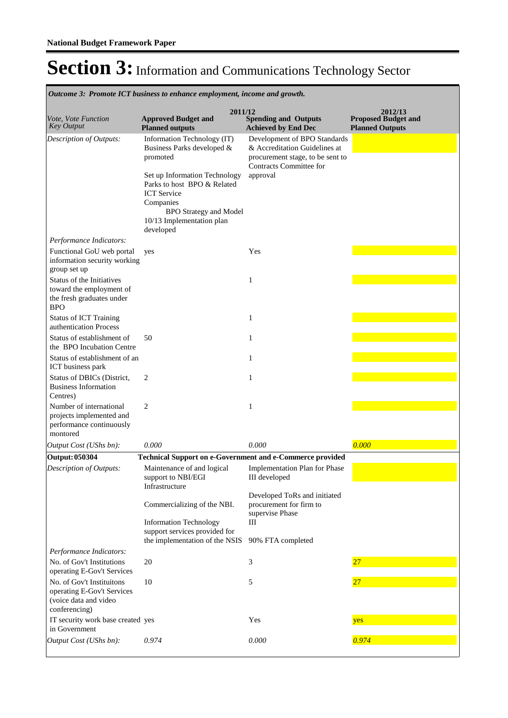**Spending and Outputs Achieved by End Dec Approved Budget and Planned outputs Proposed Budget and Planned Outputs 2011/12** *Vote, Vote Function Key Output* **2012/13** *Outcome 3: Promote ICT business to enhance employment, income and growth.* Information Technology (IT) Business Parks developed & promoted Set up Information Technology Parks to host BPO & Related ICT Service Companies BPO Strategy and Model 10/13 Implementation plan developed Development of BPO Standards & Accreditation Guidelines at procurement stage, to be sent to Contracts Committee for approval *Output Cost (UShs bn): 0.000 0.000 0.000 Description of Outputs: Performance Indicators:* Functional GoU web portal information security working group set up yes Yes Status of the Initiatives toward the employment of the fresh graduates under BPO 1 Status of ICT Training authentication Process 1 Status of establishment of the BPO Incubation Centre 50 1 Status of establishment of an ICT business park 1 Status of DBICs (District, Business Information Centres) 2 1 Number of international projects implemented and performance continuously montored 2 1 **Output: 050304 Technical Support on e-Government and e-Commerce provided** Maintenance of and logical support to NBI/EGI **Infrastructure** Commercializing of the NBI. Information Technology support services provided for the implementation of the NSIS Implementation Plan for Phase III developed Developed ToRs and initiated procurement for firm to supervise Phase III 90% FTA completed *Output Cost (UShs bn): 0.974 0.000 0.974 Description of Outputs: Performance Indicators:* No. of Gov't Institutions operating E-Gov't Services 20 3 3 27 No. of Gov't Instituitons operating E-Gov't Services (voice data and video conferencing)  $10 \t\t 5$  27 IT security work base created yes in Government yes Yes yes yes yes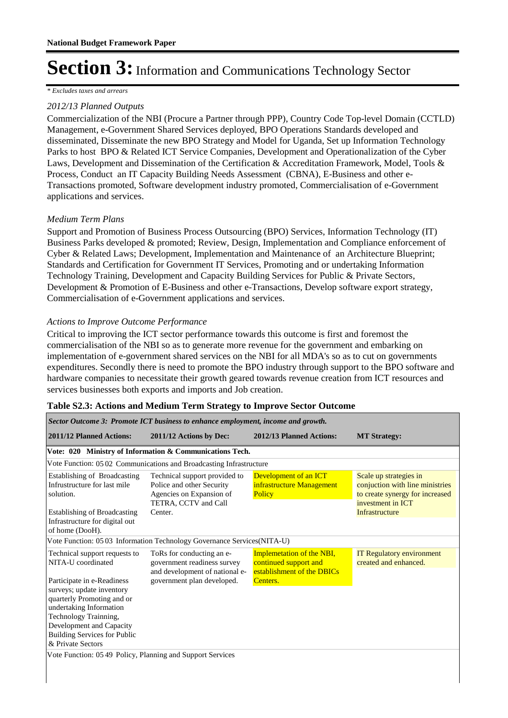*\* Excludes taxes and arrears*

### *2012/13 Planned Outputs*

Commercialization of the NBI (Procure a Partner through PPP), Country Code Top-level Domain (CCTLD) Management, e-Government Shared Services deployed, BPO Operations Standards developed and disseminated, Disseminate the new BPO Strategy and Model for Uganda, Set up Information Technology Parks to host BPO & Related ICT Service Companies, Development and Operationalization of the Cyber Laws, Development and Dissemination of the Certification & Accreditation Framework, Model, Tools & Process, Conduct an IT Capacity Building Needs Assessment (CBNA), E-Business and other e-Transactions promoted, Software development industry promoted, Commercialisation of e-Government applications and services.

### *Medium Term Plans*

Support and Promotion of Business Process Outsourcing (BPO) Services, Information Technology (IT) Business Parks developed & promoted; Review, Design, Implementation and Compliance enforcement of Cyber & Related Laws; Development, Implementation and Maintenance of an Architecture Blueprint; Standards and Certification for Government IT Services, Promoting and or undertaking Information Technology Training, Development and Capacity Building Services for Public & Private Sectors, Development & Promotion of E-Business and other e-Transactions, Develop software export strategy, Commercialisation of e-Government applications and services.

### *Actions to Improve Outcome Performance*

Critical to improving the ICT sector performance towards this outcome is first and foremost the commercialisation of the NBI so as to generate more revenue for the government and embarking on implementation of e-government shared services on the NBI for all MDA's so as to cut on governments expenditures. Secondly there is need to promote the BPO industry through support to the BPO software and hardware companies to necessitate their growth geared towards revenue creation from ICT resources and services businesses both exports and imports and Job creation.

| Sector Outcome 3: Promote ICT business to enhance employment, income and growth.                                                                                                                                                  |                                                                                                                |                                                                                  |                                                                                                                   |  |
|-----------------------------------------------------------------------------------------------------------------------------------------------------------------------------------------------------------------------------------|----------------------------------------------------------------------------------------------------------------|----------------------------------------------------------------------------------|-------------------------------------------------------------------------------------------------------------------|--|
| 2011/12 Planned Actions:                                                                                                                                                                                                          | 2011/12 Actions by Dec:                                                                                        | 2012/13 Planned Actions:                                                         | <b>MT</b> Strategy:                                                                                               |  |
|                                                                                                                                                                                                                                   | Vote: 020 Ministry of Information & Communications Tech.                                                       |                                                                                  |                                                                                                                   |  |
|                                                                                                                                                                                                                                   | Vote Function: 05 02 Communications and Broadcasting Infrastructure                                            |                                                                                  |                                                                                                                   |  |
| Establishing of Broadcasting<br>Infrustructure for last mile<br>solution.                                                                                                                                                         | Technical support provided to<br>Police and other Security<br>Agencies on Expansion of<br>TETRA, CCTV and Call | Development of an ICT<br>infrastructure Management<br>Policy                     | Scale up strategies in<br>conjuction with line ministries<br>to create synergy for increased<br>investment in ICT |  |
| <b>Establishing of Broadcasting</b><br>Infrastructure for digital out<br>of home (DooH).                                                                                                                                          | Center.                                                                                                        |                                                                                  | Infrastructure                                                                                                    |  |
|                                                                                                                                                                                                                                   | Vote Function: 05 03 Information Technology Governance Services(NITA-U)                                        |                                                                                  |                                                                                                                   |  |
| Technical support requests to<br>NITA-U coordinated                                                                                                                                                                               | ToRs for conducting an e-<br>government readiness survey<br>and development of national e-                     | Implemetation of the NBI,<br>continued support and<br>establishment of the DBICs | <b>IT Regulatory environment</b><br>created and enhanced.                                                         |  |
| Participate in e-Readiness<br>surveys; update inventory<br>quarterly Promoting and or<br>undertaking Information<br>Technology Trainning,<br>Development and Capacity<br><b>Building Services for Public</b><br>& Private Sectors | government plan developed.                                                                                     | Centers.                                                                         |                                                                                                                   |  |
| Vote Function: 05 49 Policy, Planning and Support Services                                                                                                                                                                        |                                                                                                                |                                                                                  |                                                                                                                   |  |

### **Table S2.3: Actions and Medium Term Strategy to Improve Sector Outcome**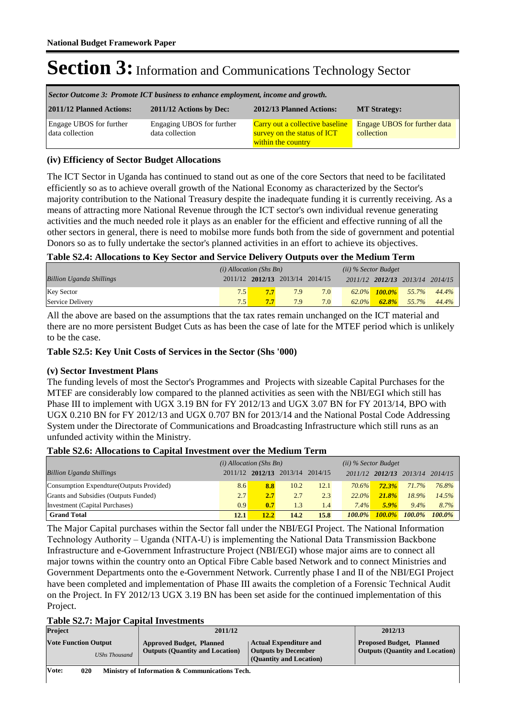| Sector Outcome 3: Promote ICT business to enhance employment, income and growth. |                                              |                                                                                      |                                                   |  |
|----------------------------------------------------------------------------------|----------------------------------------------|--------------------------------------------------------------------------------------|---------------------------------------------------|--|
| 2011/12 Planned Actions:                                                         | 2011/12 Actions by Dec:                      | 2012/13 Planned Actions:                                                             | <b>MT Strategy:</b>                               |  |
| <b>Engage UBOS</b> for further<br>data collection                                | Engaging UBOS for further<br>data collection | Carry out a collective baseline<br>survey on the status of ICT<br>within the country | <b>Engage UBOS</b> for further data<br>collection |  |

### **(iv) Efficiency of Sector Budget Allocations**

The ICT Sector in Uganda has continued to stand out as one of the core Sectors that need to be facilitated efficiently so as to achieve overall growth of the National Economy as characterized by the Sector's majority contribution to the National Treasury despite the inadequate funding it is currently receiving. As a means of attracting more National Revenue through the ICT sector's own individual revenue generating activities and the much needed role it plays as an enabler for the efficient and effective running of all the other sectors in general, there is need to mobilse more funds both from the side of government and potential Donors so as to fully undertake the sector's planned activities in an effort to achieve its objectives.

### **Table S2.4: Allocations to Key Sector and Service Delivery Outputs over the Medium Term**

|                                 | $(i)$ Allocation (Shs Bn) |                                 |     | $(ii)$ % Sector Budget |       |          |                                 |       |
|---------------------------------|---------------------------|---------------------------------|-----|------------------------|-------|----------|---------------------------------|-------|
| <b>Billion Uganda Shillings</b> |                           | 2011/12 2012/13 2013/14 2014/15 |     |                        |       |          | 2011/12 2012/13 2013/14 2014/15 |       |
| <b>Key Sector</b>               | 7.5                       | 7.7                             | 7.9 | 7.0                    |       |          | $62.0\%$ 100.0% 55.7%           | 44.4% |
| Service Delivery                | 7.5                       | 7.7                             | 7.9 | 7.0                    | 62.0% | $62.8\%$ | 55.7%                           | 44.4% |

All the above are based on the assumptions that the tax rates remain unchanged on the ICT material and there are no more persistent Budget Cuts as has been the case of late for the MTEF period which is unlikely to be the case.

### **Table S2.5: Key Unit Costs of Services in the Sector (Shs '000)**

### **(v) Sector Investment Plans**

The funding levels of most the Sector's Programmes and Projects with sizeable Capital Purchases for the MTEF are considerably low compared to the planned activities as seen with the NBI/EGI which still has Phase III to implement with UGX 3.19 BN for FY 2012/13 and UGX 3.07 BN for FY 2013/14, BPO with UGX 0.210 BN for FY 2012/13 and UGX 0.707 BN for 2013/14 and the National Postal Code Addressing System under the Directorate of Communications and Broadcasting Infrastructure which still runs as an unfunded activity within the Ministry.

#### **Table S2.6: Allocations to Capital Investment over the Medium Term**

|                                           | $(i)$ Allocation (Shs Bn) |      |                                 | (ii) % Sector Budget |           |           |                         |           |
|-------------------------------------------|---------------------------|------|---------------------------------|----------------------|-----------|-----------|-------------------------|-----------|
| <b>Billion Uganda Shillings</b>           |                           |      | 2011/12 2012/13 2013/14 2014/15 |                      |           |           | 2011/12 2012/13 2013/14 | 2014/15   |
| Consumption Expendture (Outputs Provided) | 8.6                       | 8.8  | 10.2                            | 12.1                 | $70.6\%$  | 72.3%     | 71.7%                   | 76.8%     |
| Grants and Subsidies (Outputs Funded)     | 2.7                       | 2.7  | 2.7                             | 2.3                  | $22.0\%$  | 21.8%     | 18.9%                   | 14.5%     |
| Investment (Capital Purchases)            | 0.9                       | 0.7  | 1.3                             | 1.4                  | 7.4%      | $5.9\%$   | $9.4\%$                 | 8.7%      |
| <b>Grand Total</b>                        | 12.1                      | 12.2 | 14.2                            | 15.8                 | $100.0\%$ | $100.0\%$ | $100.0\%$               | $100.0\%$ |

The Major Capital purchases within the Sector fall under the NBI/EGI Project. The National Information Technology Authority – Uganda (NITA-U) is implementing the National Data Transmission Backbone Infrastructure and e-Government Infrastructure Project (NBI/EGI) whose major aims are to connect all major towns within the country onto an Optical Fibre Cable based Network and to connect Ministries and Government Departments onto the e-Government Network. Currently phase I and II of the NBI/EGI Project have been completed and implementation of Phase III awaits the completion of a Forensic Technical Audit on the Project. In FY 2012/13 UGX 3.19 BN has been set aside for the continued implementation of this Project.

#### **Table S2.7: Major Capital Investments**

| <b>Project</b>                                                 | 2011/12                                                                   |                                                                                        | 2012/13                                                                   |  |
|----------------------------------------------------------------|---------------------------------------------------------------------------|----------------------------------------------------------------------------------------|---------------------------------------------------------------------------|--|
| <b>Vote Function Output</b><br><b>UShs Thousand</b>            | <b>Approved Budget, Planned</b><br><b>Outputs (Quantity and Location)</b> | <b>Actual Expenditure and</b><br><b>Outputs by December</b><br>(Quantity and Location) | <b>Proposed Budget, Planned</b><br><b>Outputs (Quantity and Location)</b> |  |
| Vote:<br>020<br>Ministry of Information & Communications Tech. |                                                                           |                                                                                        |                                                                           |  |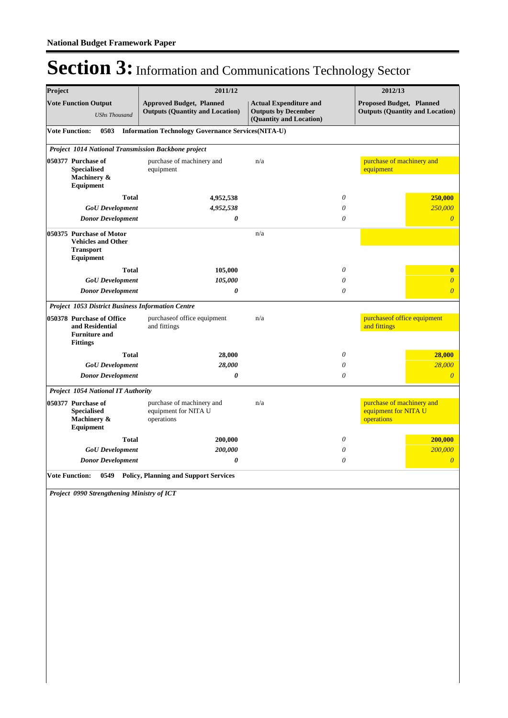| Project               |                                                                                            | 2011/12                                                                   |                                                                                        |          | 2012/13                                                            |  |  |
|-----------------------|--------------------------------------------------------------------------------------------|---------------------------------------------------------------------------|----------------------------------------------------------------------------------------|----------|--------------------------------------------------------------------|--|--|
|                       | <b>Vote Function Output</b><br><b>UShs Thousand</b>                                        | <b>Approved Budget, Planned</b><br><b>Outputs (Quantity and Location)</b> | <b>Actual Expenditure and</b><br><b>Outputs by December</b><br>(Quantity and Location) |          | Proposed Budget, Planned<br><b>Outputs (Quantity and Location)</b> |  |  |
|                       | <b>Vote Function:</b><br>0503<br><b>Information Technology Governance Services(NITA-U)</b> |                                                                           |                                                                                        |          |                                                                    |  |  |
|                       | Project 1014 National Transmission Backbone project                                        |                                                                           |                                                                                        |          |                                                                    |  |  |
|                       | 050377 Purchase of<br><b>Specialised</b><br>Machinery &<br>Equipment                       | purchase of machinery and<br>equipment                                    | n/a                                                                                    |          | purchase of machinery and<br>equipment                             |  |  |
|                       | <b>Total</b>                                                                               | 4,952,538                                                                 |                                                                                        | $\theta$ | 250,000                                                            |  |  |
|                       | <b>GoU</b> Development                                                                     | 4,952,538                                                                 |                                                                                        | 0        | 250,000                                                            |  |  |
|                       | <b>Donor Development</b>                                                                   | 0                                                                         |                                                                                        | $\theta$ | $\overline{0}$                                                     |  |  |
|                       | 050375 Purchase of Motor<br><b>Vehicles and Other</b><br><b>Transport</b><br>Equipment     |                                                                           | n/a                                                                                    |          |                                                                    |  |  |
|                       | <b>Total</b>                                                                               | 105,000                                                                   |                                                                                        | 0        | $\bf{0}$                                                           |  |  |
|                       | <b>GoU</b> Development                                                                     | 105,000                                                                   |                                                                                        | 0        | $\boldsymbol{\theta}$                                              |  |  |
|                       | <b>Donor Development</b>                                                                   | 0                                                                         |                                                                                        | 0        | $\boldsymbol{\theta}$                                              |  |  |
|                       | Project 1053 District Business Information Centre                                          |                                                                           |                                                                                        |          |                                                                    |  |  |
|                       | 050378 Purchase of Office<br>and Residential<br><b>Furniture and</b><br><b>Fittings</b>    | purchaseof office equipment<br>and fittings                               | n/a                                                                                    |          | purchaseof office equipment<br>and fittings                        |  |  |
|                       | <b>Total</b>                                                                               | 28,000                                                                    |                                                                                        | $\theta$ | 28,000                                                             |  |  |
|                       | <b>GoU</b> Development                                                                     | 28,000                                                                    |                                                                                        | 0        | 28,000                                                             |  |  |
|                       | <b>Donor Development</b>                                                                   | 0                                                                         |                                                                                        | $\theta$ | $\boldsymbol{\theta}$                                              |  |  |
|                       | <b>Project 1054 National IT Authority</b>                                                  |                                                                           |                                                                                        |          |                                                                    |  |  |
|                       | 050377 Purchase of<br><b>Specialised</b><br>Machinery &<br>Equipment                       | purchase of machinery and<br>equipment for NITA U<br>operations           | n/a                                                                                    |          | purchase of machinery and<br>equipment for NITA U<br>operations    |  |  |
|                       | <b>Total</b>                                                                               | 200,000                                                                   |                                                                                        | 0        | 200,000                                                            |  |  |
|                       | <b>GoU</b> Development                                                                     | 200,000                                                                   |                                                                                        | 0        | 200,000                                                            |  |  |
|                       | <b>Donor Development</b>                                                                   | 0                                                                         |                                                                                        | 0        | $\boldsymbol{\theta}$                                              |  |  |
| <b>Vote Function:</b> | 0549                                                                                       | <b>Policy, Planning and Support Services</b>                              |                                                                                        |          |                                                                    |  |  |
|                       | Project 0990 Strengthening Ministry of ICT                                                 |                                                                           |                                                                                        |          |                                                                    |  |  |
|                       |                                                                                            |                                                                           |                                                                                        |          |                                                                    |  |  |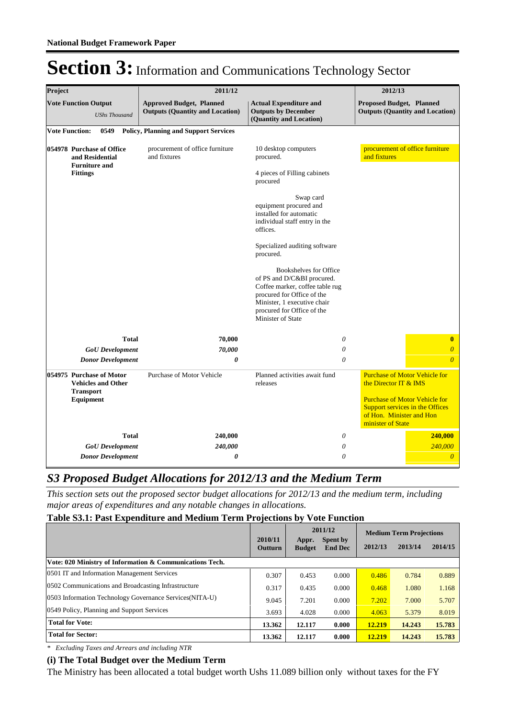| Project                                             |                                                                                         | 2011/12                                                                   | 2012/13                                                                                                                                                                                                                                                                                                                                      |                                                                        |                                                                                                                        |
|-----------------------------------------------------|-----------------------------------------------------------------------------------------|---------------------------------------------------------------------------|----------------------------------------------------------------------------------------------------------------------------------------------------------------------------------------------------------------------------------------------------------------------------------------------------------------------------------------------|------------------------------------------------------------------------|------------------------------------------------------------------------------------------------------------------------|
| <b>Vote Function Output</b><br><b>UShs Thousand</b> |                                                                                         | <b>Approved Budget, Planned</b><br><b>Outputs (Quantity and Location)</b> | <b>Actual Expenditure and</b><br><b>Outputs by December</b><br>(Quantity and Location)                                                                                                                                                                                                                                                       | <b>Proposed Budget, Planned</b>                                        | <b>Outputs (Quantity and Location)</b>                                                                                 |
|                                                     | 0549<br><b>Vote Function:</b>                                                           | <b>Policy, Planning and Support Services</b>                              |                                                                                                                                                                                                                                                                                                                                              |                                                                        |                                                                                                                        |
|                                                     | 054978 Purchase of Office<br>and Residential<br><b>Furniture and</b><br><b>Fittings</b> | procurement of office furniture<br>and fixtures                           | 10 desktop computers<br>procured.<br>4 pieces of Filling cabinets<br>procured<br>Swap card<br>equipment procured and<br>installed for automatic<br>individual staff entry in the<br>offices.<br>Specialized auditing software<br>procured.<br><b>Bookshelves for Office</b><br>of PS and D/C&BI procured.<br>Coffee marker, coffee table rug |                                                                        | procurement of office furniture                                                                                        |
|                                                     |                                                                                         |                                                                           | Minister, 1 executive chair<br>procured for Office of the<br>Minister of State                                                                                                                                                                                                                                                               |                                                                        |                                                                                                                        |
|                                                     | <b>Total</b>                                                                            | 70,000                                                                    | 0                                                                                                                                                                                                                                                                                                                                            |                                                                        | $\bf{0}$                                                                                                               |
|                                                     | <b>GoU</b> Development                                                                  | 70,000                                                                    | $\theta$                                                                                                                                                                                                                                                                                                                                     |                                                                        | $\overline{0}$                                                                                                         |
|                                                     | <b>Donor Development</b>                                                                | 0                                                                         | $\theta$                                                                                                                                                                                                                                                                                                                                     |                                                                        | $\Omega$                                                                                                               |
|                                                     | 054975 Purchase of Motor<br><b>Vehicles and Other</b><br><b>Transport</b><br>Equipment  | Purchase of Motor Vehicle                                                 | Planned activities await fund<br>releases                                                                                                                                                                                                                                                                                                    | the Director IT & IMS<br>of Hon. Minister and Hon<br>minister of State | <b>Purchase of Motor Vehicle for</b><br><b>Purchase of Motor Vehicle for</b><br><b>Support services in the Offices</b> |
|                                                     | <b>Total</b>                                                                            | 240,000                                                                   | 0                                                                                                                                                                                                                                                                                                                                            |                                                                        | 240,000                                                                                                                |
|                                                     | <b>GoU</b> Development                                                                  | 240,000                                                                   | 0                                                                                                                                                                                                                                                                                                                                            |                                                                        | 240,000                                                                                                                |
|                                                     | <b>Donor Development</b>                                                                | 0                                                                         | 0                                                                                                                                                                                                                                                                                                                                            |                                                                        | $\overline{0}$                                                                                                         |

### *S3 Proposed Budget Allocations for 2012/13 and the Medium Term*

*This section sets out the proposed sector budget allocations for 2012/13 and the medium term, including major areas of expenditures and any notable changes in allocations.* 

### **Table S3.1: Past Expenditure and Medium Term Projections by Vote Function**

|                                                          | 2010/11<br>Outturn | Appr.<br><b>Budget</b> | 2011/12<br>Spent by<br><b>End Dec</b> | 2012/13 | <b>Medium Term Projections</b><br>2013/14 | 2014/15 |
|----------------------------------------------------------|--------------------|------------------------|---------------------------------------|---------|-------------------------------------------|---------|
| Vote: 020 Ministry of Information & Communications Tech. |                    |                        |                                       |         |                                           |         |
| 0501 IT and Information Management Services              | 0.307              | 0.453                  | 0.000                                 | 0.486   | 0.784                                     | 0.889   |
| 0502 Communications and Broadcasting Infrastructure      | 0.317              | 0.435                  | 0.000                                 | 0.468   | 1.080                                     | 1.168   |
| 0503 Information Technology Governance Services (NITA-U) | 9.045              | 7.201                  | 0.000                                 | 7.202   | 7.000                                     | 5.707   |
| 0549 Policy, Planning and Support Services               | 3.693              | 4.028                  | 0.000                                 | 4.063   | 5.379                                     | 8.019   |
| <b>Total for Vote:</b>                                   | 13.362             | 12.117                 | 0.000                                 | 12.219  | 14.243                                    | 15.783  |
| <b>Total for Sector:</b>                                 | 13.362             | 12.117                 | 0.000                                 | 12.219  | 14.243                                    | 15.783  |

*\* Excluding Taxes and Arrears and including NTR*

#### **(i) The Total Budget over the Medium Term**

The Ministry has been allocated a total budget worth Ushs 11.089 billion only without taxes for the FY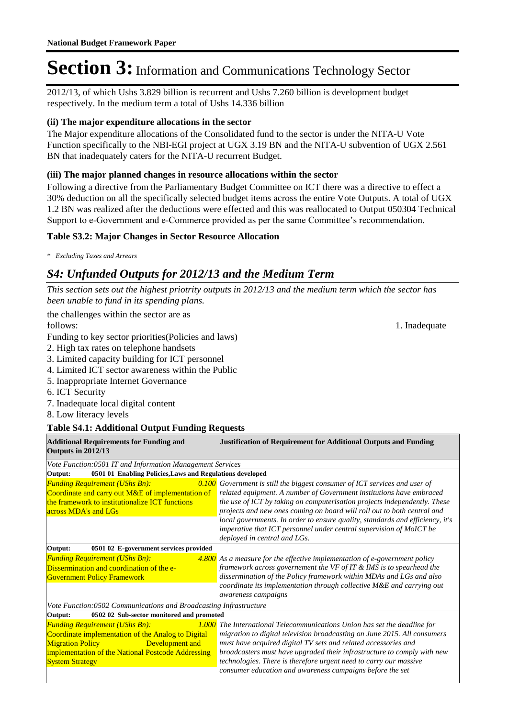2012/13, of which Ushs 3.829 billion is recurrent and Ushs 7.260 billion is development budget respectively. In the medium term a total of Ushs 14.336 billion

### **(ii) The major expenditure allocations in the sector**

The Major expenditure allocations of the Consolidated fund to the sector is under the NITA-U Vote Function specifically to the NBI-EGI project at UGX 3.19 BN and the NITA-U subvention of UGX 2.561 BN that inadequately caters for the NITA-U recurrent Budget.

### **(iii) The major planned changes in resource allocations within the sector**

Following a directive from the Parliamentary Budget Committee on ICT there was a directive to effect a 30% deduction on all the specifically selected budget items across the entire Vote Outputs. A total of UGX 1.2 BN was realized after the deductions were effected and this was reallocated to Output 050304 Technical Support to e-Government and e-Commerce provided as per the same Committee's recommendation.

### **Table S3.2: Major Changes in Sector Resource Allocation**

*\* Excluding Taxes and Arrears*

### *S4: Unfunded Outputs for 2012/13 and the Medium Term*

*This section sets out the highest priotrity outputs in 2012/13 and the medium term which the sector has been unable to fund in its spending plans.*

the challenges within the sector are as follows: 1. Inadequate 1. In a state of the state of the state of the state of the state of the state of the state of the state of the state of the state of the state of the state of the state of the state of the state of

Funding to key sector priorities(Policies and laws)

- 2. High tax rates on telephone handsets
- 3. Limited capacity building for ICT personnel
- 4. Limited ICT sector awareness within the Public
- 5. Inappropriate Internet Governance
- 6. ICT Security
- 7. Inadequate local digital content
- 8. Low literacy levels

### **Table S4.1: Additional Output Funding Requests**

| <b>Additional Requirements for Funding and</b><br>Outputs in 2012/13                                                                                                                                                      | <b>Justification of Requirement for Additional Outputs and Funding</b>                                                                                                                                                                                                                                                                                                                                                                                                                               |
|---------------------------------------------------------------------------------------------------------------------------------------------------------------------------------------------------------------------------|------------------------------------------------------------------------------------------------------------------------------------------------------------------------------------------------------------------------------------------------------------------------------------------------------------------------------------------------------------------------------------------------------------------------------------------------------------------------------------------------------|
| Vote Function:0501 IT and Information Management Services                                                                                                                                                                 |                                                                                                                                                                                                                                                                                                                                                                                                                                                                                                      |
| 0501 01 Enabling Policies, Laws and Regulations developed<br>Output:                                                                                                                                                      |                                                                                                                                                                                                                                                                                                                                                                                                                                                                                                      |
| <b>Funding Requirement (UShs Bn):</b><br>Coordinate and carry out M&E of implementation of<br>the framework to institutionalize ICT functions<br>across MDA's and LGs                                                     | $0.100$ Government is still the biggest consumer of ICT services and user of<br>related equipment. A number of Government institutions have embraced<br>the use of ICT by taking on computerisation projects independently. These<br>projects and new ones coming on board will roll out to both central and<br>local governments. In order to ensure quality, standards and efficiency, it's<br>imperative that ICT personnel under central supervision of MoICT be<br>deployed in central and LGs. |
| 0501 02 E-government services provided<br>Output:                                                                                                                                                                         |                                                                                                                                                                                                                                                                                                                                                                                                                                                                                                      |
| <b>Funding Requirement (UShs Bn):</b><br>Dissermination and coordination of the e-<br><b>Government Policy Framework</b>                                                                                                  | $4.800$ As a measure for the effective implementation of e-government policy<br>framework across governement the VF of IT $\&$ IMS is to spearhead the<br>dissermination of the Policy framework within MDAs and LGs and also<br>coordinate its implementation through collective M&E and carrying out<br>awareness campaigns                                                                                                                                                                        |
| Vote Function:0502 Communications and Broadcasting Infrastructure                                                                                                                                                         |                                                                                                                                                                                                                                                                                                                                                                                                                                                                                                      |
| 0502 02 Sub-sector monitored and promoted<br>Output:                                                                                                                                                                      |                                                                                                                                                                                                                                                                                                                                                                                                                                                                                                      |
| <b>Funding Requirement (UShs Bn):</b><br>Coordinate implementation of the Analog to Digital<br><b>Migration Policy</b><br>Development and<br>implementation of the National Postcode Addressing<br><b>System Strategy</b> | 1.000 The International Telecommunications Union has set the deadline for<br>migration to digital television broadcasting on June 2015. All consumers<br>must have acquired digital TV sets and related accessories and<br>broadcasters must have upgraded their infrastructure to comply with new<br>technologies. There is therefore urgent need to carry our massive<br>consumer education and awareness campaigns before the set                                                                 |